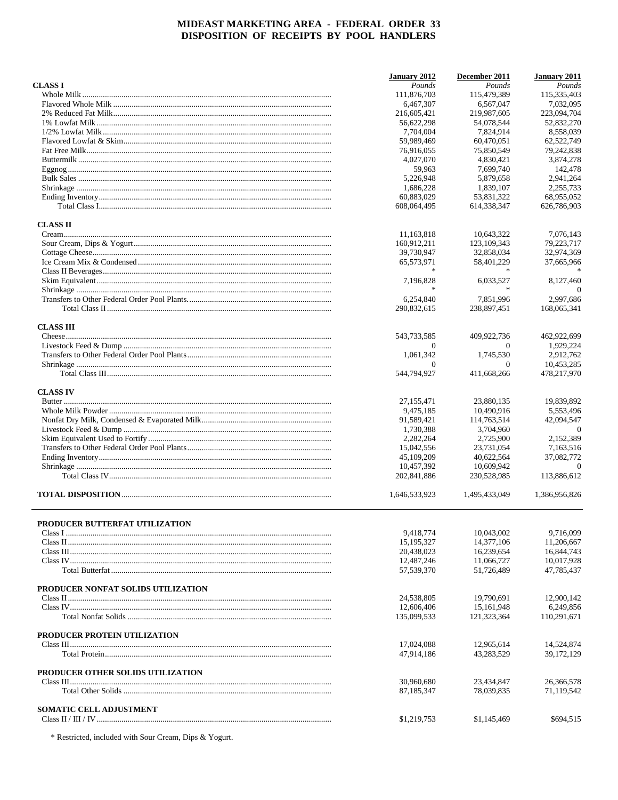|                                          | January 2012            | December 2011           | <b>January 2011</b>       |
|------------------------------------------|-------------------------|-------------------------|---------------------------|
| <b>CLASS I</b>                           | Pounds                  | Pounds                  | Pounds                    |
|                                          | 111,876,703             | 115,479,389             | 115,335,403               |
|                                          | 6,467,307               | 6,567,047               | 7,032,095                 |
|                                          | 216,605,421             | 219,987,605             | 223,094,704               |
|                                          | 56,622,298              | 54,078,544              | 52,832,270                |
|                                          | 7,704,004               | 7,824,914               | 8,558,039                 |
|                                          | 59,989,469              | 60,470,051              | 62,522,749                |
|                                          | 76,916,055              | 75,850,549              | 79,242,838                |
|                                          | 4,027,070               | 4,830,421               | 3,874,278                 |
|                                          | 59,963                  | 7,699,740               | 142,478                   |
|                                          | 5,226,948               | 5,879,658               | 2.941.264                 |
|                                          | 1,686,228               | 1,839,107               | 2,255,733                 |
|                                          | 60.883.029              | 53,831,322              | 68,955,052                |
|                                          | 608,064,495             | 614.338.347             | 626,786,903               |
| <b>CLASS II</b>                          |                         |                         |                           |
|                                          | 11,163,818              | 10,643,322              | 7,076,143                 |
|                                          | 160,912,211             | 123,109,343             | 79,223,717                |
|                                          | 39,730,947              | 32,858,034              | 32,974,369                |
|                                          | 65,573,971              | 58,401,229              | 37,665,966                |
|                                          |                         |                         |                           |
|                                          | 7,196,828               | 6,033,527               | 8,127,460                 |
|                                          |                         |                         | $\Omega$                  |
|                                          | 6,254,840               | 7,851,996               | 2,997,686                 |
|                                          |                         |                         |                           |
|                                          | 290,832,615             | 238,897,451             | 168,065,341               |
| <b>CLASS III</b>                         |                         |                         |                           |
|                                          | 543,733,585             | 409,922,736             | 462,922,699               |
|                                          | $\Omega$                | $\Omega$                | 1,929,224                 |
|                                          | 1,061,342               | 1,745,530               | 2,912,762                 |
|                                          | $\Omega$<br>544,794,927 | $\Omega$<br>411,668,266 | 10,453,285<br>478,217,970 |
|                                          |                         |                         |                           |
| <b>CLASS IV</b>                          | 27, 155, 471            | 23,880,135              | 19,839,892                |
|                                          |                         |                         |                           |
|                                          | 9,475,185               | 10,490,916              | 5,553,496                 |
|                                          | 91,589,421              | 114,763,514             | 42,094,547                |
|                                          | 1,730,388               | 3,704,960               | $\Omega$                  |
|                                          | 2,282,264               | 2,725,900               | 2,152,389                 |
|                                          | 15,042,556              | 23,731,054              | 7,163,516                 |
|                                          | 45,109,209              | 40,622,564              | 37,082,772                |
|                                          | 10,457,392              | 10,609,942              | $\theta$                  |
|                                          | 202,841,886             | 230,528,985             | 113,886,612               |
|                                          | 1,646,533,923           | 1,495,433,049           | 1,386,956,826             |
| <b>PRODUCER BUTTERFAT UTILIZATION</b>    |                         |                         |                           |
|                                          | 9,418,774               | 10,043,002              | 9,716,099                 |
|                                          | 15, 195, 327            | 14,377,106              | 11,206,667                |
|                                          | 20,438,023              | 16,239,654              | 16,844,743                |
|                                          | 12,487,246              | 11,066,727              | 10,017,928                |
|                                          | 57,539,370              | 51,726,489              | 47,785,437                |
| PRODUCER NONFAT SOLIDS UTILIZATION       |                         |                         |                           |
|                                          | 24,538,805              | 19,790,691              | 12,900,142                |
|                                          |                         |                         |                           |
|                                          | 12,606,406              | 15,161,948              | 6.249.856                 |
|                                          | 135,099,533             | 121,323,364             | 110,291,671               |
| PRODUCER PROTEIN UTILIZATION             |                         |                         |                           |
|                                          | 17,024,088              | 12,965,614              | 14,524,874                |
|                                          | 47,914,186              | 43,283,529              | 39,172,129                |
| <b>PRODUCER OTHER SOLIDS UTILIZATION</b> |                         |                         |                           |
|                                          | 30,960,680              | 23,434,847              | 26,366,578                |
|                                          | 87, 185, 347            | 78,039,835              | 71,119,542                |
| <b>SOMATIC CELL ADJUSTMENT</b>           |                         |                         |                           |
|                                          | \$1,219,753             | \$1,145,469             | \$694,515                 |
|                                          |                         |                         |                           |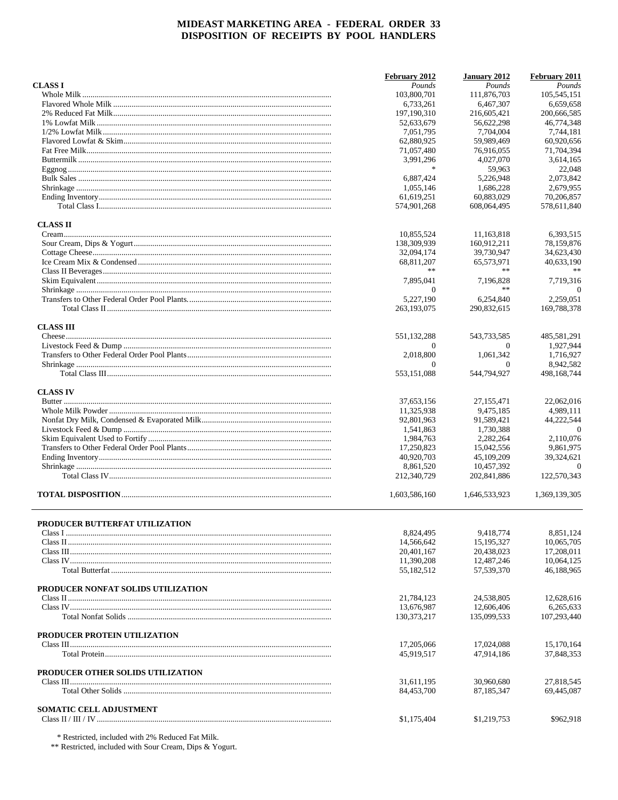|                                       | February 2012            | January 2012             | February 2011            |
|---------------------------------------|--------------------------|--------------------------|--------------------------|
| <b>CLASS I</b>                        | Pounds                   | Pounds                   | Pounds                   |
|                                       | 103,800,701              | 111,876,703              | 105,545,151              |
|                                       | 6,733,261                | 6,467,307                | 6,659,658                |
|                                       | 197, 190, 310            | 216,605,421              | 200,666,585              |
|                                       | 52,633,679               | 56,622,298               | 46,774,348               |
|                                       | 7,051,795                | 7,704,004                | 7,744,181                |
|                                       | 62,880,925               | 59,989,469               | 60,920,656               |
|                                       | 71,057,480               | 76,916,055               | 71,704,394               |
|                                       | 3,991,296                | 4,027,070                | 3,614,165                |
|                                       | $\frac{1}{2}$            | 59,963                   | 22,048                   |
|                                       | 6,887,424                | 5,226,948                | 2.073.842                |
|                                       | 1,055,146                | 1,686,228                | 2,679,955                |
|                                       | 61,619,251               | 60.883.029               | 70,206,857               |
|                                       | 574,901,268              | 608,064,495              | 578,611,840              |
| <b>CLASS II</b>                       |                          |                          |                          |
|                                       | 10,855,524               | 11,163,818               | 6,393,515                |
|                                       | 138,309,939              | 160,912,211              | 78,159,876               |
|                                       | 32,094,174               | 39,730,947               | 34,623,430               |
|                                       | 68,811,207               | 65,573,971               | 40,633,190               |
|                                       | **                       | **                       |                          |
|                                       | 7,895,041                | 7,196,828                | 7,719,316                |
|                                       | $\overline{0}$           | $\ast$                   | $\Omega$                 |
|                                       | 5,227,190                | 6,254,840                | 2,259,051                |
|                                       | 263,193,075              | 290,832,615              | 169,788,378              |
| <b>CLASS III</b>                      |                          |                          |                          |
|                                       | 551,132,288              | 543,733,585              | 485,581,291              |
|                                       | $\Omega$                 | $\Omega$                 | 1,927,944                |
|                                       | 2,018,800                | 1,061,342                | 1,716,927                |
|                                       | $\Omega$                 | $\Omega$                 | 8,942,582                |
|                                       | 553,151,088              | 544,794,927              | 498,168,744              |
| <b>CLASS IV</b>                       |                          |                          |                          |
|                                       | 37,653,156               | 27, 155, 471             | 22,062,016               |
|                                       | 11,325,938               | 9,475,185                | 4,989,111                |
|                                       | 92,801,963               | 91,589,421               | 44.222.544               |
|                                       | 1,541,863                | 1,730,388                | $\theta$                 |
|                                       | 1,984,763                | 2,282,264                | 2,110,076                |
|                                       | 17,250,823               | 15,042,556               | 9,861,975                |
|                                       | 40,920,703               | 45,109,209               | 39,324,621               |
|                                       | 8,861,520                | 10,457,392               | $\Omega$                 |
|                                       | 212,340,729              | 202,841,886              | 122,570,343              |
|                                       | 1,603,586,160            | 1,646,533,923            | 1,369,139,305            |
|                                       |                          |                          |                          |
| <b>PRODUCER BUTTERFAT UTILIZATION</b> |                          |                          |                          |
|                                       | 8.824.495                | 9.418.774                | 8.851.124                |
|                                       | 14,566,642               | 15, 195, 327             | 10,065,705               |
|                                       | 20.401.167               | 20,438,023               | 17.208.011               |
|                                       | 11,390,208               | 12,487,246               | 10,064,125               |
|                                       | 55,182,512               | 57,539,370               | 46,188,965               |
| PRODUCER NONFAT SOLIDS UTILIZATION    |                          |                          |                          |
|                                       | 21,784,123               | 24,538,805               | 12,628,616               |
|                                       | 13.676.987               | 12,606,406               | 6,265,633                |
|                                       | 130, 373, 217            | 135,099,533              | 107,293,440              |
|                                       |                          |                          |                          |
| PRODUCER PROTEIN UTILIZATION          |                          |                          |                          |
|                                       | 17,205,066<br>45,919,517 | 17,024,088<br>47,914,186 | 15,170,164<br>37,848,353 |
|                                       |                          |                          |                          |
| PRODUCER OTHER SOLIDS UTILIZATION     |                          |                          |                          |
|                                       | 31,611,195               | 30,960,680               | 27,818,545               |
|                                       | 84,453,700               | 87,185,347               | 69,445,087               |
| <b>SOMATIC CELL ADJUSTMENT</b>        |                          |                          |                          |
|                                       | \$1,175,404              | \$1,219,753              | \$962,918                |
|                                       |                          |                          |                          |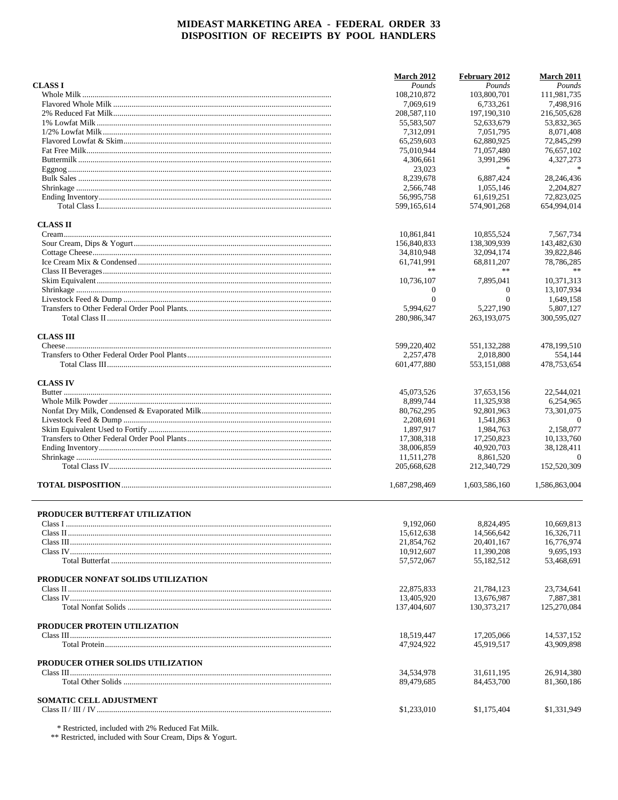|                                    | <b>March 2012</b>        | February 2012            | <b>March 2011</b>      |
|------------------------------------|--------------------------|--------------------------|------------------------|
| <b>CLASS I</b>                     | Pounds                   | Pounds                   | Pounds                 |
|                                    | 108,210,872              | 103,800,701              | 111,981,735            |
|                                    | 7,069,619                | 6,733,261                | 7,498,916              |
|                                    | 208, 587, 110            | 197, 190, 310            | 216,505,628            |
|                                    | 55,583,507               | 52,633,679               | 53,832,365             |
|                                    | 7,312,091                | 7,051,795                | 8,071,408              |
|                                    | 65,259,603               | 62,880,925               | 72,845,299             |
|                                    | 75,010,944               | 71,057,480               | 76,657,102             |
|                                    | 4,306,661                | 3,991,296                | 4,327,273              |
|                                    | 23,023                   | $\ast$                   |                        |
|                                    | 8.239.678                | 6.887.424                | 28,246,436             |
|                                    | 2,566,748                | 1,055,146                | 2,204,827              |
|                                    | 56,995,758               | 61,619,251               | 72,823,025             |
|                                    | 599,165,614              | 574,901,268              | 654.994.014            |
| <b>CLASS II</b>                    |                          |                          |                        |
|                                    | 10,861,841               | 10,855,524               | 7,567,734              |
|                                    | 156,840,833              | 138,309,939              | 143,482,630            |
|                                    | 34,810,948               | 32,094,174               | 39,822,846             |
|                                    | 61,741,991               | 68,811,207               | 78,786,285             |
|                                    |                          | **                       |                        |
|                                    | 10,736,107               | 7.895.041                | 10,371,313             |
|                                    | $\mathbf 0$              | $\mathbf{0}$             | 13,107,934             |
|                                    | $\mathbf{0}$             | $\overline{0}$           | 1,649,158              |
|                                    | 5,994,627                | 5.227.190                | 5.807.127              |
|                                    | 280,986,347              | 263,193,075              | 300,595,027            |
|                                    |                          |                          |                        |
| <b>CLASS III</b>                   |                          |                          |                        |
|                                    | 599,220,402              | 551, 132, 288            | 478,199,510            |
|                                    | 2,257,478<br>601,477,880 | 2,018,800<br>553,151,088 | 554.144<br>478,753,654 |
|                                    |                          |                          |                        |
| <b>CLASS IV</b>                    | 45,073,526               | 37,653,156               | 22,544,021             |
|                                    | 8,899,744                | 11,325,938               | 6,254,965              |
|                                    | 80,762,295               | 92,801,963               | 73,301,075             |
|                                    | 2,208,691                |                          | $\theta$               |
|                                    | 1,897,917                | 1,541,863<br>1,984,763   | 2,158,077              |
|                                    |                          |                          | 10,133,760             |
|                                    | 17,308,318<br>38,006,859 | 17,250,823<br>40,920,703 | 38,128,411             |
|                                    | 11,511,278               | 8,861,520                | $\Omega$               |
|                                    | 205,668,628              | 212,340,729              | 152,520,309            |
|                                    | 1,687,298,469            | 1,603,586,160            | 1,586,863,004          |
|                                    |                          |                          |                        |
| PRODUCER BUTTERFAT UTILIZATION     |                          |                          |                        |
|                                    | 9,192,060                | 8,824,495                | 10,669,813             |
|                                    | 15,612,638               | 14.566.642               | 16.326.711             |
|                                    | 21,854,762               | 20,401,167               | 16,776,974             |
|                                    | 10,912,607               | 11,390,208               | 9,695,193              |
|                                    | 57,572,067               | 55,182,512               | 53,468,691             |
| PRODUCER NONFAT SOLIDS UTILIZATION |                          |                          |                        |
|                                    | 22,875,833               | 21,784,123               | 23,734,641             |
|                                    | 13,405,920               | 13.676.987               | 7,887,381              |
|                                    | 137,404,607              | 130, 373, 217            | 125,270,084            |
|                                    |                          |                          |                        |
| PRODUCER PROTEIN UTILIZATION       | 18,519,447               | 17,205,066               | 14,537,152             |
|                                    | 47,924,922               | 45,919,517               | 43,909,898             |
|                                    |                          |                          |                        |
| PRODUCER OTHER SOLIDS UTILIZATION  |                          |                          |                        |
|                                    | 34,534,978               | 31,611,195               | 26,914,380             |
|                                    | 89,479,685               | 84,453,700               | 81,360,186             |
| <b>SOMATIC CELL ADJUSTMENT</b>     |                          |                          |                        |
|                                    | \$1,233,010              | \$1,175,404              | \$1,331,949            |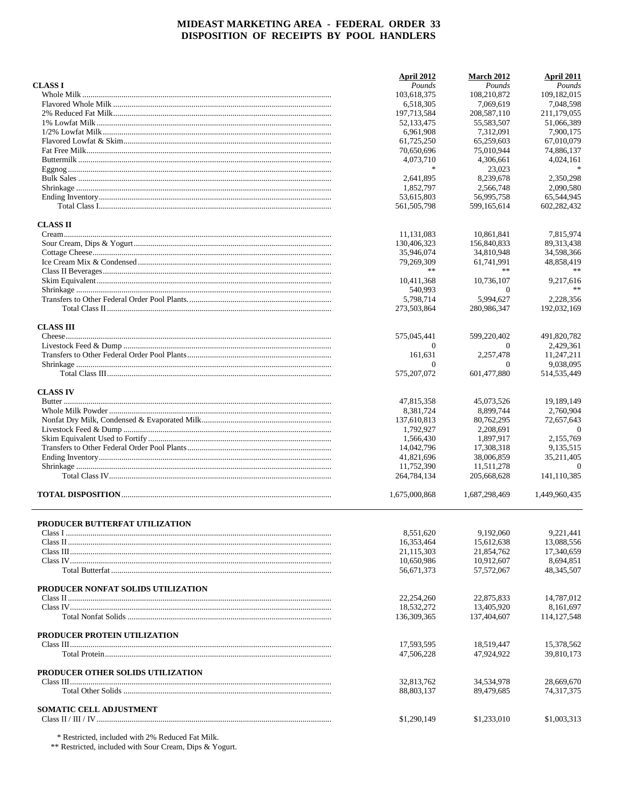|                                       | April 2012    | <b>March 2012</b> | April 2011    |
|---------------------------------------|---------------|-------------------|---------------|
| <b>CLASS I</b>                        | Pounds        | Pounds            | Pounds        |
|                                       | 103,618,375   | 108,210,872       | 109,182,015   |
|                                       | 6.518.305     | 7,069,619         | 7,048,598     |
|                                       | 197,713,584   | 208,587,110       | 211,179,055   |
|                                       | 52, 133, 475  | 55,583,507        | 51,066,389    |
|                                       | 6,961,908     | 7,312,091         | 7,900,175     |
|                                       | 61,725,250    | 65,259,603        | 67,010,079    |
|                                       | 70,650,696    | 75,010,944        | 74,886,137    |
|                                       | 4,073,710     | 4,306,661         | 4,024,161     |
|                                       | $\frac{1}{2}$ | 23,023            | $\ast$        |
|                                       | 2.641.895     | 8.239.678         | 2,350,298     |
|                                       | 1,852,797     | 2,566,748         | 2,090,580     |
|                                       | 53,615,803    | 56,995,758        | 65,544,945    |
|                                       | 561.505.798   | 599,165,614       | 602,282,432   |
| <b>CLASS II</b>                       |               |                   |               |
|                                       | 11,131,083    | 10,861,841        | 7,815,974     |
|                                       | 130,406,323   | 156,840,833       | 89,313,438    |
|                                       | 35,946,074    | 34,810,948        | 34,598,366    |
|                                       | 79,269,309    | 61,741,991        | 48,858,419    |
|                                       | **            | **                |               |
|                                       | 10,411,368    | 10,736,107        | 9,217,616     |
|                                       | 540,993       | $\Omega$          | **            |
|                                       | 5,798,714     | 5,994,627         | 2,228,356     |
|                                       | 273,503,864   | 280,986,347       | 192,032,169   |
| <b>CLASS III</b>                      |               |                   |               |
|                                       | 575,045,441   | 599,220,402       | 491,820,782   |
|                                       | $\Omega$      | $\Omega$          | 2,429,361     |
|                                       | 161,631       | 2.257.478         | 11,247,211    |
|                                       | $\Omega$      | $\Omega$          | 9,038,095     |
|                                       | 575,207,072   | 601,477,880       | 514, 535, 449 |
| <b>CLASS IV</b>                       |               |                   |               |
|                                       | 47,815,358    | 45,073,526        | 19,189,149    |
|                                       | 8,381,724     | 8,899,744         | 2,760,904     |
|                                       | 137,610,813   | 80,762,295        | 72,657,643    |
|                                       | 1,792,927     | 2,208,691         | $\Omega$      |
|                                       | 1,566,430     | 1,897,917         | 2,155,769     |
|                                       | 14,042,796    | 17,308,318        | 9,135,515     |
|                                       | 41,821,696    | 38,006,859        | 35,211,405    |
|                                       | 11,752,390    | 11,511,278        | $\Omega$      |
|                                       | 264,784,134   | 205,668,628       | 141,110,385   |
|                                       | 1,675,000,868 | 1,687,298,469     | 1,449,960,435 |
|                                       |               |                   |               |
| <b>PRODUCER BUTTERFAT UTILIZATION</b> | 8,551,620     | 9,192,060         | 9,221,441     |
|                                       | 16,353,464    | 15,612,638        | 13,088,556    |
|                                       | 21,115,303    | 21,854,762        | 17,340,659    |
|                                       | 10,650,986    | 10,912,607        | 8,694,851     |
|                                       | 56,671,373    | 57, 572, 067      | 48, 345, 507  |
|                                       |               |                   |               |
| PRODUCER NONFAT SOLIDS UTILIZATION    |               |                   |               |
|                                       | 22,254,260    | 22,875,833        | 14,787,012    |
|                                       | 18,532,272    | 13,405,920        | 8.161.697     |
|                                       | 136,309,365   | 137,404,607       | 114, 127, 548 |
| PRODUCER PROTEIN UTILIZATION          |               |                   |               |
|                                       | 17,593,595    | 18,519,447        | 15,378,562    |
|                                       | 47,506,228    | 47,924,922        | 39,810,173    |
| PRODUCER OTHER SOLIDS UTILIZATION     |               |                   |               |
|                                       | 32,813,762    | 34,534,978        | 28,669,670    |
|                                       | 88,803,137    | 89,479,685        | 74,317,375    |
| <b>SOMATIC CELL ADJUSTMENT</b>        |               |                   |               |
|                                       | \$1,290,149   | \$1,233,010       | \$1,003,313   |
|                                       |               |                   |               |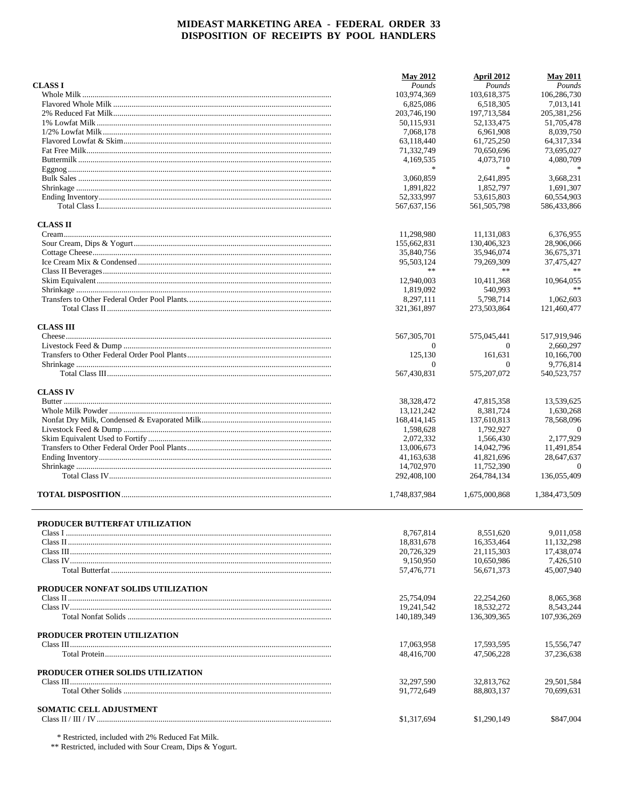|                                       | <b>May 2012</b> | April 2012    | <b>May 2011</b> |
|---------------------------------------|-----------------|---------------|-----------------|
| <b>CLASS I</b>                        | Pounds          | Pounds        | Pounds          |
|                                       | 103,974,369     | 103,618,375   | 106,286,730     |
|                                       | 6.825.086       | 6.518.305     | 7,013,141       |
|                                       | 203,746,190     | 197,713,584   | 205, 381, 256   |
|                                       | 50,115,931      | 52,133,475    | 51,705,478      |
|                                       | 7,068,178       | 6.961.908     | 8,039,750       |
|                                       | 63,118,440      | 61,725,250    | 64, 317, 334    |
|                                       | 71,332,749      | 70,650,696    | 73,695,027      |
|                                       | 4,169,535       | 4,073,710     | 4,080,709       |
|                                       | 家               | $\ast$        |                 |
|                                       | 3,060,859       | 2,641,895     | 3,668,231       |
|                                       | 1.891.822       | 1,852,797     | 1.691.307       |
|                                       | 52,333,997      | 53,615,803    | 60,554,903      |
|                                       | 567,637,156     | 561.505.798   | 586,433,866     |
| <b>CLASS II</b>                       |                 |               |                 |
|                                       | 11,298,980      | 11,131,083    | 6,376,955       |
|                                       | 155,662,831     | 130,406,323   | 28,906,066      |
|                                       | 35,840,756      | 35,946,074    | 36,675,371      |
|                                       | 95,503,124      | 79,269,309    | 37,475,427      |
|                                       | **              | **            |                 |
|                                       | 12,940,003      | 10.411.368    | 10.964.055      |
|                                       | 1.819.092       | 540.993       |                 |
|                                       | 8,297,111       | 5,798,714     | 1,062,603       |
|                                       | 321,361,897     | 273,503,864   | 121,460,477     |
| <b>CLASS III</b>                      |                 |               |                 |
|                                       | 567, 305, 701   | 575,045,441   | 517,919,946     |
|                                       | $\theta$        | $\theta$      | 2,660,297       |
|                                       | 125,130         | 161,631       | 10,166,700      |
|                                       | $\Omega$        | $\Omega$      | 9,776,814       |
|                                       | 567,430,831     | 575,207,072   | 540,523,757     |
| <b>CLASS IV</b>                       |                 |               |                 |
|                                       | 38,328,472      | 47,815,358    | 13,539,625      |
|                                       | 13, 121, 242    | 8,381,724     | 1,630,268       |
|                                       | 168,414,145     | 137,610,813   | 78,568,096      |
|                                       | 1,598,628       | 1,792,927     | $\Omega$        |
|                                       | 2,072,332       | 1,566,430     | 2,177,929       |
|                                       | 13,006,673      | 14,042,796    | 11,491,854      |
|                                       | 41,163,638      | 41,821,696    | 28,647,637      |
|                                       | 14,702,970      | 11,752,390    | $\Omega$        |
|                                       | 292,408,100     | 264,784,134   | 136,055,409     |
|                                       | 1,748,837,984   | 1,675,000,868 | 1,384,473,509   |
|                                       |                 |               |                 |
| <b>PRODUCER BUTTERFAT UTILIZATION</b> | 8,767,814       | 8,551,620     | 9,011,058       |
|                                       | 18,831,678      | 16,353,464    | 11,132,298      |
|                                       | 20,726,329      | 21,115,303    | 17,438,074      |
|                                       | 9,150,950       | 10,650,986    | 7,426,510       |
|                                       | 57,476,771      | 56,671,373    | 45,007,940      |
| PRODUCER NONFAT SOLIDS UTILIZATION    |                 |               |                 |
|                                       | 25,754,094      | 22,254,260    | 8,065,368       |
|                                       | 19,241,542      | 18.532.272    | 8,543,244       |
|                                       | 140,189,349     | 136,309,365   | 107,936,269     |
| PRODUCER PROTEIN UTILIZATION          |                 |               |                 |
|                                       | 17,063,958      | 17,593,595    | 15,556,747      |
|                                       | 48,416,700      | 47,506,228    | 37,236,638      |
| PRODUCER OTHER SOLIDS UTILIZATION     |                 |               |                 |
|                                       | 32,297,590      | 32,813,762    | 29,501,584      |
|                                       | 91,772,649      | 88,803,137    | 70,699,631      |
|                                       |                 |               |                 |
| <b>SOMATIC CELL ADJUSTMENT</b>        | \$1,317,694     | \$1,290,149   | \$847,004       |
|                                       |                 |               |                 |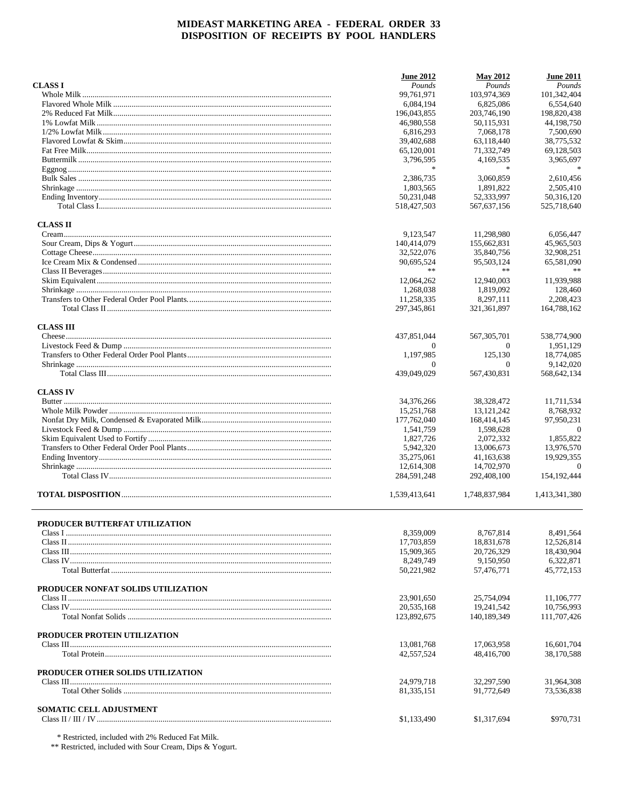|                                       | <b>June 2012</b> | <b>May 2012</b> | <b>June 2011</b> |
|---------------------------------------|------------------|-----------------|------------------|
| <b>CLASS I</b>                        | Pounds           | Pounds          | Pounds           |
|                                       | 99.761.971       | 103,974,369     | 101,342,404      |
|                                       | 6,084,194        | 6.825.086       | 6,554,640        |
|                                       | 196,043,855      | 203,746,190     | 198,820,438      |
|                                       | 46,980,558       | 50,115,931      | 44.198.750       |
|                                       | 6,816,293        | 7,068,178       | 7,500,690        |
|                                       | 39,402,688       | 63,118,440      | 38,775,532       |
|                                       | 65,120,001       | 71,332,749      | 69,128,503       |
|                                       | 3,796,595        | 4,169,535       | 3,965,697        |
|                                       | $\frac{1}{2}$    | $\frac{1}{2}$   | $\ast$           |
|                                       | 2,386,735        | 3,060,859       | 2.610.456        |
|                                       | 1,803,565        | 1,891,822       | 2.505.410        |
|                                       | 50,231,048       | 52,333,997      | 50,316,120       |
|                                       | 518,427,503      | 567,637,156     | 525,718,640      |
| <b>CLASS II</b>                       |                  |                 |                  |
|                                       | 9,123,547        | 11,298,980      | 6,056,447        |
|                                       | 140,414,079      | 155,662,831     | 45,965,503       |
|                                       | 32,522,076       | 35,840,756      | 32,908,251       |
|                                       | 90,695,524       | 95,503,124      | 65,581,090       |
|                                       | **               | **              |                  |
|                                       | 12.064.262       | 12,940,003      | 11,939,988       |
|                                       | 1,268,038        | 1,819,092       | 128,460          |
|                                       | 11,258,335       | 8,297,111       | 2,208,423        |
|                                       | 297, 345, 861    | 321,361,897     | 164,788,162      |
| <b>CLASS III</b>                      |                  |                 |                  |
|                                       | 437,851,044      | 567, 305, 701   | 538,774,900      |
|                                       | $\Omega$         | $\Omega$        | 1,951,129        |
|                                       | 1,197,985        | 125,130         | 18,774,085       |
|                                       | $\Omega$         | $\Omega$        | 9,142,020        |
|                                       | 439,049,029      | 567,430,831     | 568,642,134      |
| <b>CLASS IV</b>                       |                  |                 |                  |
|                                       | 34,376,266       | 38,328,472      | 11,711,534       |
|                                       | 15,251,768       | 13, 121, 242    | 8,768,932        |
|                                       | 177,762,040      | 168,414,145     | 97,950,231       |
|                                       | 1,541,759        | 1,598,628       | $\theta$         |
|                                       | 1,827,726        | 2,072,332       | 1,855,822        |
|                                       | 5,942,320        | 13,006,673      | 13,976,570       |
|                                       | 35,275,061       | 41,163,638      | 19,929,355       |
|                                       | 12,614,308       | 14,702,970      | $\Omega$         |
|                                       | 284,591,248      | 292,408,100     | 154, 192, 444    |
|                                       | 1,539,413,641    | 1,748,837,984   | 1,413,341,380    |
|                                       |                  |                 |                  |
| <b>PRODUCER BUTTERFAT UTILIZATION</b> |                  |                 |                  |
|                                       | 8,359,009        | 8.767.814       | 8,491,564        |
|                                       | 17,703,859       | 18,831,678      | 12,526,814       |
|                                       | 15,909,365       | 20.726.329      | 18,430,904       |
|                                       | 8,249,749        | 9,150,950       | 6,322,871        |
|                                       | 50,221,982       | 57,476,771      | 45,772,153       |
| PRODUCER NONFAT SOLIDS UTILIZATION    |                  |                 |                  |
|                                       | 23,901,650       | 25,754,094      | 11,106,777       |
|                                       | 20.535.168       | 19,241,542      | 10,756,993       |
|                                       | 123,892,675      | 140,189,349     | 111,707,426      |
| PRODUCER PROTEIN UTILIZATION          |                  |                 |                  |
|                                       | 13,081,768       | 17,063,958      | 16,601,704       |
|                                       | 42,557,524       | 48,416,700      | 38,170,588       |
|                                       |                  |                 |                  |
| PRODUCER OTHER SOLIDS UTILIZATION     |                  |                 |                  |
|                                       | 24,979,718       | 32,297,590      | 31,964,308       |
|                                       | 81,335,151       | 91,772,649      | 73,536,838       |
| <b>SOMATIC CELL ADJUSTMENT</b>        |                  |                 |                  |
|                                       | \$1,133,490      | \$1,317,694     | \$970,731        |
|                                       |                  |                 |                  |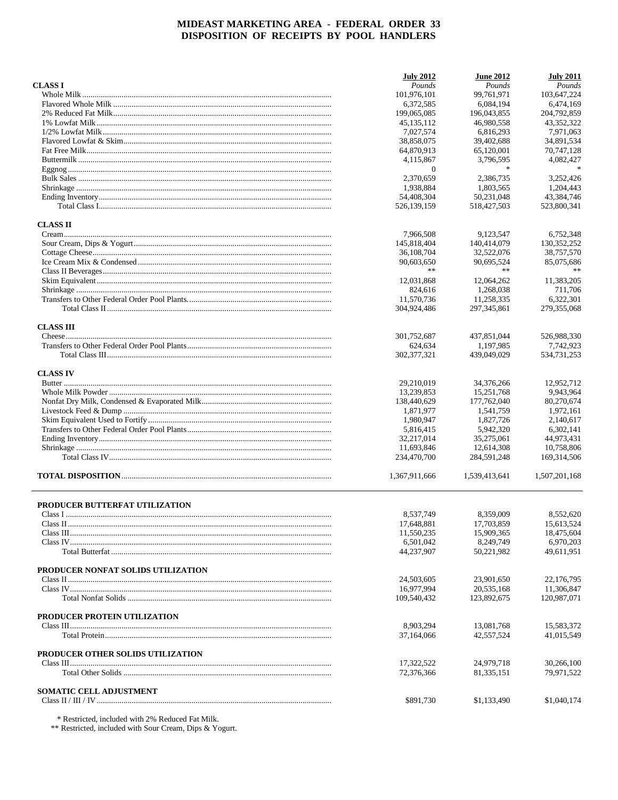|                                    | <b>July 2012</b> | <b>June 2012</b> | <b>July 2011</b> |
|------------------------------------|------------------|------------------|------------------|
| <b>CLASS I</b>                     | Pounds           | Pounds           | Pounds           |
|                                    | 101,976,101      | 99,761,971       | 103,647,224      |
|                                    | 6,372,585        | 6,084,194        | 6.474.169        |
|                                    | 199,065,085      | 196,043,855      | 204,792,859      |
|                                    | 45, 135, 112     | 46,980,558       | 43,352,322       |
|                                    | 7,027,574        | 6,816,293        | 7.971.063        |
|                                    | 38,858,075       | 39,402,688       | 34,891,534       |
|                                    | 64,870,913       | 65,120,001       | 70,747,128       |
|                                    | 4,115,867        | 3,796,595        | 4,082,427        |
|                                    | $\mathbf{0}$     | $\ast$           |                  |
|                                    | 2,370,659        | 2,386,735        | 3,252,426        |
|                                    | 1,938,884        | 1,803,565        | 1,204,443        |
|                                    | 54,408,304       | 50,231,048       | 43,384,746       |
|                                    | 526,139,159      | 518,427,503      | 523,800,341      |
| <b>CLASS II</b>                    |                  |                  |                  |
|                                    | 7,966,508        | 9,123,547        | 6,752,348        |
|                                    | 145,818,404      | 140,414,079      | 130, 352, 252    |
|                                    | 36,108,704       | 32,522,076       | 38,757,570       |
|                                    | 90,603,650       | 90,695,524       | 85,075,686       |
|                                    | **               | $\pm\, \pm$      | **               |
|                                    | 12,031,868       | 12,064,262       | 11,383,205       |
|                                    | 824,616          | 1,268,038        | 711,706          |
|                                    |                  |                  |                  |
|                                    | 11,570,736       | 11,258,335       | 6,322,301        |
|                                    | 304,924,486      | 297, 345, 861    | 279,355,068      |
| <b>CLASS III</b>                   |                  |                  |                  |
|                                    | 301,752,687      | 437,851,044      | 526,988,330      |
|                                    | 624,634          | 1,197,985        | 7,742,923        |
|                                    | 302, 377, 321    | 439,049,029      | 534,731,253      |
| <b>CLASS IV</b>                    |                  |                  |                  |
|                                    | 29,210,019       | 34,376,266       | 12,952,712       |
|                                    | 13,239,853       | 15,251,768       | 9.943,964        |
|                                    | 138,440,629      | 177,762,040      | 80,270,674       |
|                                    | 1,871,977        | 1,541,759        | 1,972,161        |
|                                    | 1,980,947        | 1,827,726        | 2,140,617        |
|                                    | 5,816,415        | 5,942,320        | 6,302,141        |
|                                    | 32,217,014       | 35,275,061       | 44,973,431       |
|                                    | 11,693,846       | 12,614,308       | 10,758,806       |
|                                    | 234,470,700      | 284,591,248      | 169, 314, 506    |
|                                    | 1,367,911,666    | 1,539,413,641    | 1,507,201,168    |
| PRODUCER BUTTERFAT UTILIZATION     |                  |                  |                  |
|                                    |                  | 8.359.009        |                  |
|                                    | 8,537,749        |                  | 8,552,620        |
|                                    | 17,648,881       | 17,703,859       | 15,613,524       |
|                                    | 11,550,235       | 15,909,365       | 18,475,604       |
|                                    | 6,501,042        | 8,249,749        | 6,970,203        |
|                                    | 44,237,907       | 50,221,982       | 49,611,951       |
| PRODUCER NONFAT SOLIDS UTILIZATION |                  |                  |                  |
|                                    | 24,503,605       | 23,901,650       | 22,176,795       |
|                                    | 16,977,994       | 20,535,168       | 11,306,847       |
|                                    | 109,540,432      | 123,892,675      | 120,987,071      |
| PRODUCER PROTEIN UTILIZATION       |                  |                  |                  |
|                                    | 8,903,294        | 13,081,768       | 15,583,372       |
|                                    | 37,164,066       | 42,557,524       | 41,015,549       |
| PRODUCER OTHER SOLIDS UTILIZATION  |                  |                  |                  |
|                                    | 17,322,522       | 24,979,718       | 30,266,100       |
|                                    | 72,376,366       | 81, 335, 151     | 79,971,522       |
| SOMATIC CELL ADJUSTMENT            |                  |                  |                  |
|                                    | \$891,730        | \$1,133,490      | \$1,040,174      |
|                                    |                  |                  |                  |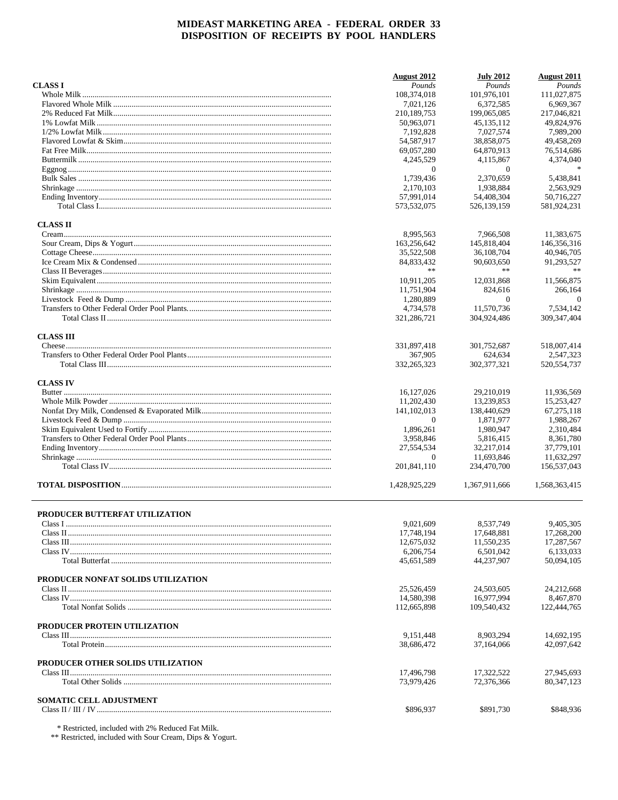|                                           | <b>August 2012</b>       | <b>July 2012</b>        | <b>August 2011</b>         |
|-------------------------------------------|--------------------------|-------------------------|----------------------------|
| <b>CLASS I</b>                            | Pounds                   | Pounds                  | Pounds                     |
|                                           | 108,374,018              | 101.976.101             | 111.027.875                |
|                                           | 7.021.126                | 6,372,585               | 6,969,367                  |
|                                           | 210,189,753              | 199,065,085             | 217,046,821                |
|                                           | 50,963,071               | 45.135.112              | 49,824,976                 |
|                                           | 7,192,828                | 7,027,574               | 7,989,200                  |
|                                           | 54,587,917               | 38,858,075              | 49,458,269                 |
|                                           | 69,057,280               | 64,870,913              | 76,514,686                 |
|                                           | 4,245,529                | 4,115,867               | 4,374,040                  |
|                                           | $\theta$                 | $\theta$                |                            |
|                                           | 1.739.436                | 2,370,659               | 5.438.841                  |
|                                           | 2,170,103                | 1,938,884               | 2.563.929                  |
|                                           | 57.991.014               | 54,408,304              | 50.716.227                 |
|                                           | 573,532,075              | 526,139,159             | 581,924,231                |
| <b>CLASS II</b>                           |                          |                         |                            |
|                                           | 8,995,563                | 7,966,508               | 11,383,675                 |
|                                           | 163,256,642              | 145,818,404             | 146,356,316                |
|                                           | 35,522,508               | 36,108,704              | 40,946,705                 |
|                                           | 84,833,432               | 90,603,650              | 91,293,527                 |
|                                           | $**$                     | $\pm\, \pm$             |                            |
|                                           | 10,911,205               | 12.031.868              | 11,566,875                 |
|                                           | 11,751,904               | 824,616                 | 266,164                    |
|                                           | 1,280,889                | $\theta$                | $\theta$                   |
|                                           |                          | 11.570.736              |                            |
|                                           | 4,734,578                |                         | 7,534,142                  |
|                                           | 321,286,721              | 304,924,486             | 309, 347, 404              |
| <b>CLASS III</b>                          |                          |                         |                            |
|                                           | 331,897,418              | 301,752,687             | 518,007,414                |
|                                           | 367,905<br>332, 265, 323 | 624,634<br>302,377,321  | 2,547,323<br>520, 554, 737 |
| <b>CLASS IV</b>                           |                          |                         |                            |
|                                           | 16, 127, 026             | 29,210,019              | 11,936,569                 |
|                                           | 11,202,430               | 13,239,853              | 15,253,427                 |
|                                           | 141, 102, 013            | 138,440,629             | 67,275,118                 |
|                                           | $\theta$                 | 1,871,977               | 1,988,267                  |
|                                           | 1,896,261                | 1,980,947               | 2,310,484                  |
|                                           | 3,958,846                | 5,816,415               | 8,361,780                  |
|                                           | 27,554,534               | 32,217,014              | 37,779,101                 |
|                                           | $\theta$                 | 11,693,846              | 11,632,297                 |
|                                           | 201,841,110              | 234,470,700             | 156,537,043                |
|                                           | 1,428,925,229            | 1,367,911,666           | 1,568,363,415              |
|                                           |                          |                         |                            |
| PRODUCER BUTTERFAT UTILIZATION<br>Class I | 9,021,609                | 8,537,749               | 9,405,305                  |
|                                           | 17,748,194               | 17,648,881              | 17,268,200                 |
|                                           | 12,675,032               | 11,550,235              | 17,287,567                 |
|                                           | 6,206,754                | 6,501,042               | 6,133,033                  |
|                                           | 45,651,589               | 44,237,907              | 50,094,105                 |
| PRODUCER NONFAT SOLIDS UTILIZATION        |                          |                         |                            |
|                                           | 25.526.459               | 24.503.605              | 24,212,668                 |
|                                           | 14,580,398               | 16,977,994              | 8,467,870                  |
|                                           | 112,665,898              | 109,540,432             | 122,444,765                |
|                                           |                          |                         |                            |
| PRODUCER PROTEIN UTILIZATION              | 9.151.448                |                         | 14,692,195                 |
|                                           | 38,686,472               | 8,903,294<br>37,164,066 | 42,097,642                 |
| PRODUCER OTHER SOLIDS UTILIZATION         |                          |                         |                            |
|                                           | 17,496,798               | 17,322,522              | 27,945,693                 |
|                                           | 73,979,426               | 72,376,366              | 80, 347, 123               |
|                                           |                          |                         |                            |
| <b>SOMATIC CELL ADJUSTMENT</b>            | \$896,937                | \$891,730               | \$848,936                  |
|                                           |                          |                         |                            |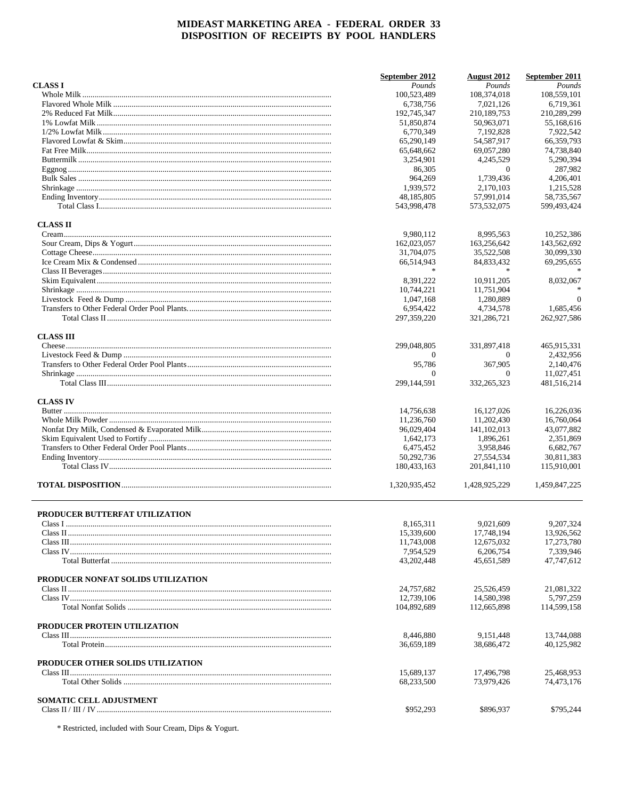|                                    | September 2012              | August 2012               | September 2011            |
|------------------------------------|-----------------------------|---------------------------|---------------------------|
| <b>CLASS I</b>                     | Pounds                      | Pounds                    | Pounds                    |
|                                    | 100,523,489                 | 108,374,018               | 108,559,101               |
|                                    | 6,738,756                   | 7,021,126                 | 6,719,361                 |
|                                    | 192,745,347                 | 210,189,753               | 210,289,299               |
|                                    | 51,850,874                  | 50,963,071                | 55,168,616                |
|                                    | 6,770,349                   | 7,192,828                 | 7,922,542                 |
|                                    | 65,290,149                  | 54,587,917                | 66,359,793                |
|                                    | 65,648,662                  | 69,057,280                | 74,738,840                |
|                                    | 3,254,901                   | 4,245,529                 | 5,290,394                 |
|                                    | 86,305                      | $\theta$                  | 287,982                   |
|                                    | 964,269                     | 1,739,436                 | 4,206,401                 |
|                                    | 1,939,572                   | 2,170,103                 | 1,215,528                 |
|                                    | 48, 185, 805<br>543,998,478 | 57,991,014<br>573,532,075 | 58,735,567<br>599,493,424 |
| <b>CLASS II</b>                    |                             |                           |                           |
|                                    | 9,980,112                   | 8,995,563                 | 10,252,386                |
|                                    | 162,023,057                 | 163,256,642               | 143,562,692               |
|                                    | 31,704,075                  | 35,522,508                | 30,099,330                |
|                                    | 66,514,943                  | 84,833,432                | 69,295,655                |
|                                    |                             |                           |                           |
|                                    | 8,391,222                   | 10,911,205                | 8,032,067                 |
|                                    | 10,744,221                  | 11,751,904                |                           |
|                                    | 1,047,168                   | 1,280,889                 | $\Omega$                  |
|                                    | 6,954,422                   | 4,734,578                 | 1,685,456                 |
|                                    | 297, 359, 220               | 321, 286, 721             | 262,927,586               |
| <b>CLASS III</b>                   |                             |                           |                           |
|                                    | 299,048,805                 | 331,897,418               | 465,915,331               |
|                                    | 0                           | $\theta$                  | 2,432,956                 |
|                                    | 95,786                      | 367,905                   | 2,140,476                 |
|                                    | $\Omega$                    | $\Omega$                  | 11,027,451                |
|                                    | 299, 144, 591               | 332, 265, 323             | 481,516,214               |
| <b>CLASS IV</b>                    |                             |                           |                           |
|                                    | 14,756,638                  | 16,127,026                | 16,226,036                |
|                                    | 11,236,760                  | 11,202,430                | 16,760,064                |
|                                    | 96,029,404                  | 141, 102, 013             | 43,077,882                |
|                                    | 1,642,173                   | 1,896,261                 | 2,351,869                 |
|                                    | 6,475,452                   | 3,958,846                 | 6,682,767                 |
|                                    | 50,292,736                  | 27,554,534                | 30,811,383                |
|                                    | 180,433,163                 | 201,841,110               | 115,910,001               |
|                                    | 1,320,935,452               | 1,428,925,229             | 1,459,847,225             |
| PRODUCER BUTTERFAT UTILIZATION     |                             |                           |                           |
|                                    | 8,165,311                   | 9,021,609                 | 9, 207, 324               |
|                                    | 15,339,600                  | 17,748,194                | 13,926,562                |
|                                    | 11,743,008                  | 12,675,032                | 17,273,780                |
|                                    | 7,954,529                   | 6,206,754                 | 7,339,946                 |
|                                    | 43, 202, 448                | 45.651.589                | 47,747,612                |
| PRODUCER NONFAT SOLIDS UTILIZATION |                             |                           |                           |
|                                    | 24,757,682                  | 25,526,459                | 21,081,322                |
|                                    | 12,739,106                  | 14,580,398                | 5,797,259                 |
|                                    | 104,892,689                 | 112,665,898               | 114,599,158               |
| PRODUCER PROTEIN UTILIZATION       |                             |                           |                           |
|                                    | 8,446,880                   | 9,151,448                 | 13,744,088                |
|                                    | 36,659,189                  | 38.686.472                | 40,125,982                |
| PRODUCER OTHER SOLIDS UTILIZATION  |                             |                           |                           |
|                                    | 15,689,137<br>68,233,500    | 17,496,798<br>73,979,426  | 25,468,953<br>74,473,176  |
|                                    |                             |                           |                           |
| <b>SOMATIC CELL ADJUSTMENT</b>     | \$952,293                   | \$896,937                 | \$795,244                 |
|                                    |                             |                           |                           |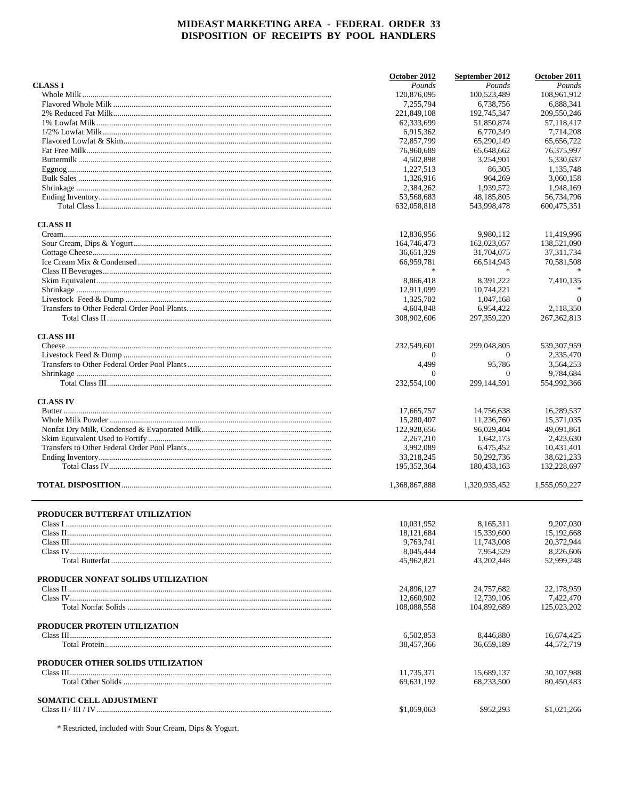|                                    | October 2012            | September 2012           | October 2011            |
|------------------------------------|-------------------------|--------------------------|-------------------------|
| <b>CLASS I</b>                     | Pounds                  | Pounds                   | Pounds                  |
|                                    | 120,876,095             | 100,523,489              | 108,961,912             |
|                                    | 7.255.794               | 6,738,756                | 6,888,341               |
|                                    | 221,849,108             | 192,745,347              | 209,550,246             |
|                                    | 62,333,699              | 51,850,874               | 57,118,417              |
|                                    | 6.915.362               | 6,770,349                | 7,714,208               |
|                                    | 72,857,799              | 65,290,149               | 65,656,722              |
|                                    | 76,960,689              | 65,648,662               | 76,375,997              |
|                                    | 4,502,898               | 3,254,901                | 5,330,637               |
|                                    | 1,227,513               | 86,305                   | 1,135,748               |
|                                    | 1,326,916               | 964,269                  | 3,060,158               |
|                                    | 2,384,262               | 1,939,572                | 1,948,169               |
|                                    | 53,568,683              | 48,185,805               | 56,734,796              |
|                                    | 632,058,818             | 543,998,478              | 600,475,351             |
| <b>CLASS II</b>                    |                         |                          |                         |
|                                    | 12,836,956              | 9,980,112                | 11,419,996              |
|                                    | 164,746,473             | 162,023,057              | 138,521,090             |
|                                    | 36,651,329              | 31,704,075               | 37, 311, 734            |
|                                    | 66,959,781              | 66,514,943               | 70,581,508              |
|                                    |                         |                          |                         |
|                                    | 8,866,418               | 8,391,222                | 7,410,135               |
|                                    | 12,911,099              | 10.744.221               |                         |
|                                    | 1,325,702               | 1,047,168                | $\Omega$                |
|                                    | 4,604,848               | 6,954,422                | 2,118,350               |
|                                    | 308,902,606             | 297, 359, 220            | 267, 362, 813           |
| <b>CLASS III</b>                   |                         |                          |                         |
|                                    | 232,549,601             | 299,048,805              | 539,307,959             |
|                                    | 0                       | $\theta$                 | 2,335,470               |
|                                    | 4,499                   | 95,786                   | 3,564,253               |
|                                    | $\Omega$                | $\theta$                 | 9,784,684               |
|                                    | 232,554,100             | 299,144,591              | 554,992,366             |
|                                    |                         |                          |                         |
| <b>CLASS IV</b>                    |                         |                          |                         |
|                                    | 17,665,757              | 14,756,638               | 16,289,537              |
|                                    | 15,280,407              | 11,236,760               | 15,371,035              |
|                                    | 122,928,656             | 96,029,404               | 49,091,861              |
|                                    | 2,267,210               | 1,642,173                | 2,423,630               |
|                                    | 3,992,089               | 6,475,452                | 10,431,401              |
|                                    | 33,218,245              | 50,292,736               | 38,621,233              |
|                                    | 195, 352, 364           | 180,433,163              | 132,228,697             |
|                                    | 1,368,867,888           | 1,320,935,452            | 1,555,059,227           |
|                                    |                         |                          |                         |
| PRODUCER BUTTERFAT UTILIZATION     | 10,031,952              | 8,165,311                | 9,207,030               |
|                                    | 18, 121, 684            | 15,339,600               | 15,192,668              |
|                                    | 9,763,741               | 11,743,008               | 20,372,944              |
|                                    | 8.045.444               | 7.954.529                | 8,226,606               |
|                                    | 45,962,821              | 43,202,448               | 52,999,248              |
| PRODUCER NONFAT SOLIDS UTILIZATION |                         |                          |                         |
|                                    | 24,896,127              |                          |                         |
|                                    | 12,660,902              | 24,757,682<br>12,739,106 | 22,178,959<br>7,422,470 |
|                                    | 108,088,558             | 104,892,689              | 125,023,202             |
|                                    |                         |                          |                         |
| PRODUCER PROTEIN UTILIZATION       |                         |                          |                         |
|                                    | 6.502.853<br>38,457,366 | 8,446,880                | 16,674,425              |
|                                    |                         | 36,659,189               | 44,572,719              |
| PRODUCER OTHER SOLIDS UTILIZATION  |                         |                          |                         |
|                                    | 11,735,371              | 15,689,137               | 30,107,988              |
|                                    | 69,631,192              | 68,233,500               | 80,450,483              |
| <b>SOMATIC CELL ADJUSTMENT</b>     |                         |                          |                         |
|                                    | \$1,059,063             | \$952,293                | \$1,021,266             |
|                                    |                         |                          |                         |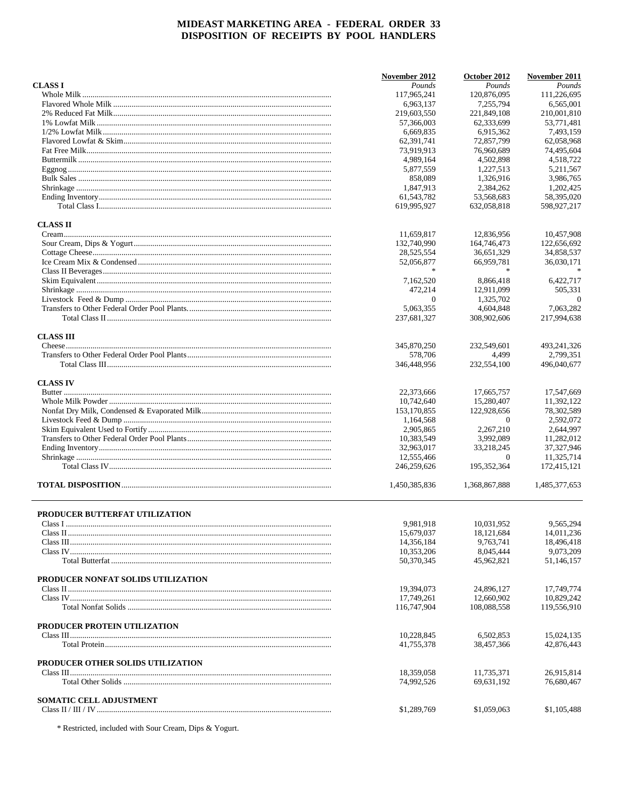|                                    | November 2012          | October 2012         | November 2011            |
|------------------------------------|------------------------|----------------------|--------------------------|
| <b>CLASS I</b>                     | Pounds                 | Pounds               | Pounds                   |
|                                    | 117,965,241            | 120.876.095          | 111,226,695              |
|                                    | 6,963,137              | 7,255,794            | 6.565.001                |
|                                    | 219,603,550            | 221,849,108          | 210,001,810              |
|                                    | 57,366,003             | 62,333,699           | 53,771,481               |
|                                    | 6,669,835              | 6,915,362            | 7,493,159                |
|                                    | 62,391,741             | 72,857,799           | 62,058,968               |
|                                    | 73,919,913             | 76,960,689           | 74,495,604               |
|                                    | 4,989,164              | 4,502,898            | 4,518,722                |
|                                    | 5,877,559              | 1,227,513            | 5,211,567                |
|                                    | 858,089                | 1,326,916            | 3,986,765                |
|                                    | 1,847,913              | 2,384,262            | 1.202.425                |
|                                    | 61,543,782             | 53,568,683           | 58,395,020               |
|                                    | 619,995,927            | 632,058,818          | 598,927,217              |
| <b>CLASS II</b>                    |                        |                      |                          |
|                                    | 11,659,817             | 12,836,956           | 10,457,908               |
|                                    | 132,740,990            | 164,746,473          | 122,656,692              |
|                                    | 28,525,554             | 36,651,329           | 34,858,537               |
|                                    | 52,056,877             | 66,959,781           | 36,030,171               |
|                                    | $\ast$                 | $\ast$               |                          |
|                                    | 7,162,520              | 8,866,418            | 6,422,717                |
|                                    | 472,214                | 12.911.099           | 505.331                  |
|                                    | $\mathbf{0}$           | 1,325,702            | $\overline{0}$           |
|                                    | 5,063,355              | 4,604,848            | 7,063,282                |
|                                    | 237,681,327            | 308,902,606          | 217,994,638              |
|                                    |                        |                      |                          |
| <b>CLASS III</b>                   |                        |                      |                          |
|                                    | 345,870,250            | 232,549,601          | 493, 241, 326            |
|                                    | 578,706<br>346,448,956 | 4,499<br>232,554,100 | 2,799,351<br>496,040,677 |
| <b>CLASS IV</b>                    |                        |                      |                          |
|                                    | 22,373,666             | 17,665,757           | 17,547,669               |
|                                    | 10,742,640             | 15,280,407           | 11,392,122               |
|                                    | 153,170,855            | 122,928,656          | 78,302,589               |
|                                    | 1,164,568              | $\theta$             | 2,592,072                |
|                                    | 2,905,865              | 2,267,210            | 2,644,997                |
|                                    | 10,383,549             | 3,992,089            | 11,282,012               |
|                                    | 32,963,017             | 33,218,245           | 37,327,946               |
|                                    | 12,555,466             | $\theta$             | 11,325,714               |
|                                    |                        |                      |                          |
|                                    | 246,259,626            | 195,352,364          | 172,415,121              |
|                                    | 1,450,385,836          | 1,368,867,888        | 1,485,377,653            |
| PRODUCER BUTTERFAT UTILIZATION     |                        |                      |                          |
|                                    | 9,981,918              | 10,031,952           | 9,565,294                |
|                                    | 15,679,037             | 18,121,684           | 14,011,236               |
|                                    | 14,356,184             | 9,763,741            | 18,496,418               |
|                                    | 10,353,206             | 8,045,444            | 9,073,209                |
|                                    | 50,370,345             | 45,962,821           | 51,146,157               |
|                                    |                        |                      |                          |
| PRODUCER NONFAT SOLIDS UTILIZATION |                        |                      |                          |
|                                    | 19,394,073             | 24.896.127           | 17,749,774               |
|                                    | 17,749,261             | 12,660,902           | 10,829,242               |
|                                    | 116,747,904            | 108,088,558          | 119,556,910              |
| PRODUCER PROTEIN UTILIZATION       |                        |                      |                          |
|                                    | 10,228,845             | 6,502,853            | 15,024,135               |
|                                    | 41,755,378             | 38,457,366           | 42,876,443               |
| PRODUCER OTHER SOLIDS UTILIZATION  |                        |                      |                          |
|                                    | 18,359,058             | 11,735,371           | 26,915,814               |
|                                    | 74,992,526             | 69,631,192           | 76,680,467               |
| <b>SOMATIC CELL ADJUSTMENT</b>     |                        |                      |                          |
|                                    | \$1,289,769            | \$1,059,063          | \$1,105,488              |
|                                    |                        |                      |                          |